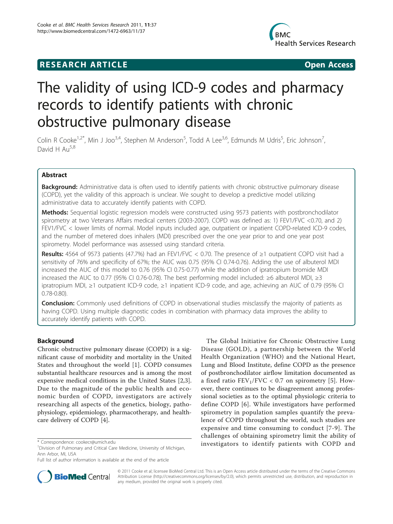# **RESEARCH ARTICLE Example 2018 CONSIDERING ACCESS**



# The validity of using ICD-9 codes and pharmacy records to identify patients with chronic obstructive pulmonary disease

Colin R Cooke<sup>1,2\*</sup>, Min J Joo<sup>3,4</sup>, Stephen M Anderson<sup>5</sup>, Todd A Lee<sup>3,6</sup>, Edmunds M Udris<sup>5</sup>, Eric Johnson<sup>7</sup> , David H  $Au<sup>5,8</sup>$ 

# Abstract

**Background:** Administrative data is often used to identify patients with chronic obstructive pulmonary disease (COPD), yet the validity of this approach is unclear. We sought to develop a predictive model utilizing administrative data to accurately identify patients with COPD.

Methods: Sequential logistic regression models were constructed using 9573 patients with postbronchodilator spirometry at two Veterans Affairs medical centers (2003-2007). COPD was defined as: 1) FEV1/FVC <0.70, and 2) FEV1/FVC < lower limits of normal. Model inputs included age, outpatient or inpatient COPD-related ICD-9 codes, and the number of metered does inhalers (MDI) prescribed over the one year prior to and one year post spirometry. Model performance was assessed using standard criteria.

Results: 4564 of 9573 patients (47.7%) had an FEV1/FVC < 0.70. The presence of ≥1 outpatient COPD visit had a sensitivity of 76% and specificity of 67%; the AUC was 0.75 (95% CI 0.74-0.76). Adding the use of albuterol MDI increased the AUC of this model to 0.76 (95% CI 0.75-0.77) while the addition of ipratropium bromide MDI increased the AUC to 0.77 (95% CI 0.76-0.78). The best performing model included: ≥6 albuterol MDI, ≥3 ipratropium MDI, ≥1 outpatient ICD-9 code, ≥1 inpatient ICD-9 code, and age, achieving an AUC of 0.79 (95% CI 0.78-0.80).

**Conclusion:** Commonly used definitions of COPD in observational studies misclassify the majority of patients as having COPD. Using multiple diagnostic codes in combination with pharmacy data improves the ability to accurately identify patients with COPD.

# Background

Chronic obstructive pulmonary disease (COPD) is a significant cause of morbidity and mortality in the United States and throughout the world [[1\]](#page-8-0). COPD consumes substantial healthcare resources and is among the most expensive medical conditions in the United States [[2,3](#page-8-0)]. Due to the magnitude of the public health and economic burden of COPD, investigators are actively researching all aspects of the genetics, biology, pathophysiology, epidemiology, pharmacotherapy, and healthcare delivery of COPD [[4\]](#page-8-0).

The Global Initiative for Chronic Obstructive Lung Disease (GOLD), a partnership between the World Health Organization (WHO) and the National Heart, Lung and Blood Institute, define COPD as the presence of postbronchodilator airflow limitation documented as a fixed ratio  $FEV_1/FVC < 0.7$  on spirometry [[5\]](#page-8-0). However, there continues to be disagreement among professional societies as to the optimal physiologic criteria to define COPD [\[6](#page-8-0)]. While investigators have performed spirometry in population samples quantify the prevalence of COPD throughout the world, such studies are expensive and time consuming to conduct [[7](#page-8-0)-[9](#page-8-0)]. The challenges of obtaining spirometry limit the ability of investigators to identify patients with COPD and \* Correspondence: [cookecr@umich.edu](mailto:cookecr@umich.edu)



© 2011 Cooke et al; licensee BioMed Central Ltd. This is an Open Access article distributed under the terms of the Creative Commons Attribution License [\(http://creativecommons.org/licenses/by/2.0](http://creativecommons.org/licenses/by/2.0)), which permits unrestricted use, distribution, and reproduction in any medium, provided the original work is properly cited.

<sup>&</sup>lt;sup>1</sup> Division of Pulmonary and Critical Care Medicine, University of Michigan, Ann Arbor, MI, USA

Full list of author information is available at the end of the article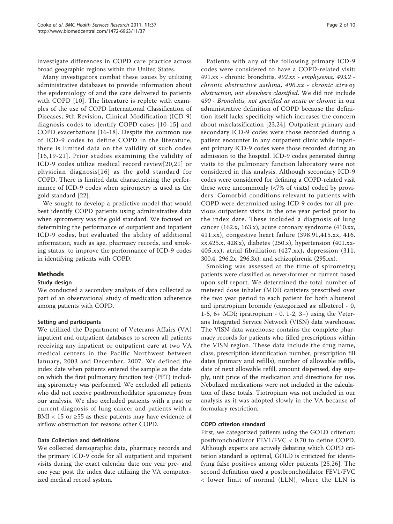investigate differences in COPD care practice across broad geographic regions within the United States.

Many investigators combat these issues by utilizing administrative databases to provide information about the epidemiology of and the care delivered to patients with COPD [[10](#page-8-0)]. The literature is replete with examples of the use of COPD International Classification of Diseases, 9th Revision, Clinical Modification (ICD-9) diagnosis codes to identify COPD cases [[10-15](#page-8-0)] and COPD exacerbations [[16-18](#page-8-0)]. Despite the common use of ICD-9 codes to define COPD in the literature, there is limited data on the validity of such codes [[16](#page-8-0),[19](#page-8-0)-[21](#page-8-0)]. Prior studies examining the validity of ICD-9 codes utilize medical record review[\[20](#page-8-0),[21](#page-8-0)] or physician diagnosis[[16](#page-8-0)] as the gold standard for COPD. There is limited data characterizing the performance of ICD-9 codes when spirometry is used as the gold standard [[22](#page-8-0)].

We sought to develop a predictive model that would best identify COPD patients using administrative data when spirometry was the gold standard. We focused on determining the performance of outpatient and inpatient ICD-9 codes, but evaluated the ability of additional information, such as age, pharmacy records, and smoking status, to improve the performance of ICD-9 codes in identifying patients with COPD.

# Methods

# Study design

We conducted a secondary analysis of data collected as part of an observational study of medication adherence among patients with COPD.

# Setting and participants

We utilized the Department of Veterans Affairs (VA) inpatient and outpatient databases to screen all patients receiving any inpatient or outpatient care at two VA medical centers in the Pacific Northwest between January, 2003 and December, 2007. We defined the index date when patients entered the sample as the date on which the first pulmonary function test (PFT) including spirometry was performed. We excluded all patients who did not receive postbronchodilator spirometry from our analysis. We also excluded patients with a past or current diagnosis of lung cancer and patients with a BMI < 15 or  $\geq$ 55 as these patients may have evidence of airflow obstruction for reasons other COPD.

# Data Collection and definitions

We collected demographic data, pharmacy records and the primary ICD-9 code for all outpatient and inpatient visits during the exact calendar date one year pre- and one year post the index date utilizing the VA computerized medical record system.

Patients with any of the following primary ICD-9 codes were considered to have a COPD-related visit: 491.xx - chronic bronchitis, 492.xx - emphysema, 493.2 chronic obstructive asthma, 496.xx - chronic airway obstruction, not elsewhere classified. We did not include 490 - Bronchitis, not specified as acute or chronic in our administrative definition of COPD because the definition itself lacks specificity which increases the concern about misclassification [[23,24](#page-8-0)]. Outpatient primary and secondary ICD-9 codes were those recorded during a patient encounter in any outpatient clinic while inpatient primary ICD-9 codes were those recorded during an admission to the hospital. ICD-9 codes generated during visits to the pulmonary function laboratory were not considered in this analysis. Although secondary ICD-9 codes were considered for defining a COPD-related visit these were uncommonly (<7% of visits) coded by providers. Comorbid conditions relevant to patients with COPD were determined using ICD-9 codes for all previous outpatient visits in the one year period prior to the index date. These included a diagnosis of lung cancer (162.x, 163.x), acute coronary syndrome (410.xx, 411.xx), congestive heart failure (398.91,415.xx, 416. xx,425.x, 428.x), diabetes (250.x), hypertension (401.xx-405.xx), atrial fibrillation (427.xx), depression (311, 300.4, 296.2x, 296.3x), and schizophrenia (295.xx).

Smoking was assessed at the time of spirometry; patients were classified as never/former or current based upon self report. We determined the total number of metered dose inhaler (MDI) canisters prescribed over the two year period to each patient for both albuterol and ipratropium bromide (categorized as: albuterol - 0, 1-5, 6+ MDI; ipratropium - 0, 1-2, 3+) using the Veterans Integrated Service Network (VISN) data warehouse. The VISN data warehouse contains the complete pharmacy records for patients who filled prescriptions within the VISN region. These data include the drug name, class, prescription identification number, prescription fill dates (primary and refills), number of allowable refills, date of next allowable refill, amount dispensed, day supply, unit price of the medication and directions for use. Nebulized medications were not included in the calculation of these totals. Tiotropium was not included in our analysis as it was adopted slowly in the VA because of formulary restriction.

# COPD criterion standard

First, we categorized patients using the GOLD criterion: postbronchodilator FEV1/FVC < 0.70 to define COPD. Although experts are actively debating which COPD criterion standard is optimal, GOLD is criticized for identifying false positives among older patients [[25](#page-8-0),[26\]](#page-8-0). The second definition used a postbronchodilator FEV1/FVC < lower limit of normal (LLN), where the LLN is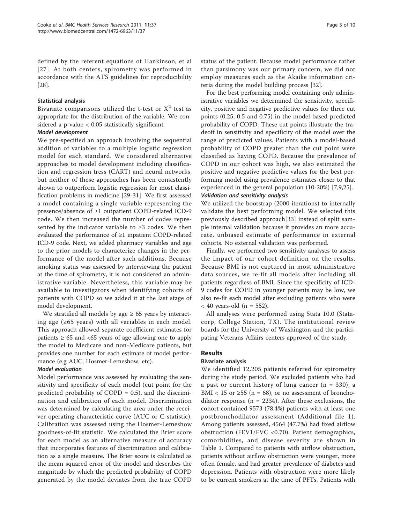defined by the referent equations of Hankinson, et al [[27](#page-8-0)]. At both centers, spirometry was performed in accordance with the ATS guidelines for reproducibility [[28\]](#page-8-0).

# Statistical analysis

Bivariate comparisons utilized the t-test or  $X^2$  test as appropriate for the distribution of the variable. We considered a p-value < 0.05 statistically significant.

# Model development

We pre-specified an approach involving the sequential addition of variables to a multiple logistic regression model for each standard. We considered alternative approaches to model development including classification and regression tress (CART) and neural networks, but neither of these approaches has been consistently shown to outperform logistic regression for most classification problems in medicine [[29](#page-8-0)-[31\]](#page-8-0). We first assessed a model containing a single variable representing the presence/absence of ≥1 outpatient COPD-related ICD-9 code. We then increased the number of codes represented by the indicator variable to  $\geq 3$  codes. We then evaluated the performance of ≥1 inpatient COPD-related ICD-9 code. Next, we added pharmacy variables and age to the prior models to characterize changes in the performance of the model after such additions. Because smoking status was assessed by interviewing the patient at the time of spirometry, it is not considered an administrative variable. Nevertheless, this variable may be available to investigators when identifying cohorts of patients with COPD so we added it at the last stage of model development.

We stratified all models by age  $\geq 65$  years by interacting age (≥65 years) with all variables in each model. This approach allowed separate coefficient estimates for patients  $\geq 65$  and <65 years of age allowing one to apply the model to Medicare and non-Medicare patients, but provides one number for each estimate of model performance (e.g AUC, Hosmer-Lemeshow, etc).

# Model evaluation

Model performance was assessed by evaluating the sensitivity and specificity of each model (cut point for the predicted probability of COPD  $= 0.5$ ), and the discrimination and calibration of each model. Discrimination was determined by calculating the area under the receiver operating characteristic curve (AUC or C-statistic). Calibration was assessed using the Hosmer-Lemeshow goodness-of-fit statistic. We calculated the Brier score for each model as an alternative measure of accuracy that incorporates features of discrimination and calibration as a single measure. The Brier score is calculated as the mean squared error of the model and describes the magnitude by which the predicted probability of COPD generated by the model deviates from the true COPD status of the patient. Because model performance rather than parsimony was our primary concern, we did not employ measures such as the Akaike information criteria during the model building process [[32\]](#page-9-0).

For the best performing model containing only administrative variables we determined the sensitivity, specificity, positive and negative predictive values for three cut points (0.25, 0.5 and 0.75) in the model-based predicted probability of COPD. These cut points illustrate the tradeoff in sensitivity and specificity of the model over the range of predicted values. Patients with a model-based probability of COPD greater than the cut point were classified as having COPD. Because the prevalence of COPD in our cohort was high, we also estimated the positive and negative predictive values for the best performing model using prevalence estimates closer to that experienced in the general population (10-20%) [\[7,9,25\]](#page-8-0). Validation and sensitivity analysis

We utilized the bootstrap (2000 iterations) to internally validate the best performing model. We selected this previously described approach[[33\]](#page-9-0) instead of split sample internal validation because it provides an more accurate, unbiased estimate of performance in external cohorts. No external validation was performed.

Finally, we performed two sensitivity analyses to assess the impact of our cohort definition on the results. Because BMI is not captured in most administrative data sources, we re-fit all models after including all patients regardless of BMI. Since the specificity of ICD-9 codes for COPD in younger patients may be low, we also re-fit each model after excluding patients who were  $<$  40 years-old (n = 552).

All analyses were performed using Stata 10.0 (Statacorp, College Station, TX). The institutional review boards for the University of Washington and the participating Veterans Affairs centers approved of the study.

# Results

# Bivariate analysis

We identified 12,205 patients referred for spirometry during the study period. We excluded patients who had a past or current history of lung cancer  $(n = 330)$ , a BMI < 15 or  $\geq$ 55 (n = 68), or no assessment of bronchodilator response ( $n = 2234$ ). After these exclusions, the cohort contained 9573 (78.4%) patients with at least one postbronchodilator assessment (Additional file [1\)](#page-7-0). Among patients assessed, 4564 (47.7%) had fixed airflow obstruction (FEV1/FVC <0.70). Patient demographics, comorbidities, and disease severity are shown in Table [1](#page-3-0). Compared to patients with airflow obstruction, patients without airflow obstruction were younger, more often female, and had greater prevalence of diabetes and depression. Patients with obstruction were more likely to be current smokers at the time of PFTs. Patients with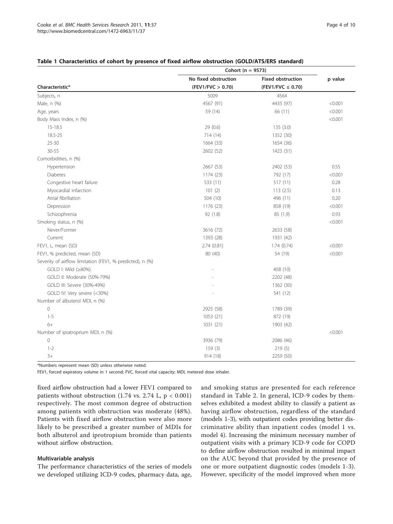|                                                           | Cohort ( $n = 9573$ ) |                          |         |  |
|-----------------------------------------------------------|-----------------------|--------------------------|---------|--|
|                                                           | No fixed obstruction  | <b>Fixed obstruction</b> | p value |  |
| Characteristic*                                           | (FEV1/FVC > 0.70)     | $(FEV1/FVC \leq 0.70)$   |         |  |
| Subjects, n                                               | 5009                  | 4564                     |         |  |
| Male, n (%)                                               | 4567 (91)             | 4435 (97)                | < 0.001 |  |
| Age, years                                                | 59 (14)               | 66 (11)                  | < 0.001 |  |
| Body Mass Index, n (%)                                    |                       |                          | < 0.001 |  |
| $15 - 18.5$                                               | 29(0.6)               | 135(3.0)                 |         |  |
| 18.5-25                                                   | 714 (14)              | 1352 (30)                |         |  |
| $25 - 30$                                                 | 1664 (33)             | 1654 (36)                |         |  |
| $30 - 55$                                                 | 2602 (52)             | 1423 (31)                |         |  |
| Comorbidities, n (%)                                      |                       |                          |         |  |
| Hypertension                                              | 2667 (53)             | 2402 (53)                | 0.55    |  |
| <b>Diabetes</b>                                           | 1174 (23)             | 792 (17)                 | < 0.001 |  |
| Congestive heart failure                                  | 533 (11)              | 517 (11)                 | 0.28    |  |
| Myocardial infarction                                     | 101(2)                | 113(2.5)                 | 0.13    |  |
| Atrial fibrillation                                       | 504 (10)              | 496 (11)                 | 0.20    |  |
| Depression                                                | 1176 (23)             | 858 (19)                 | < 0.001 |  |
| Schizophrenia                                             | 92(1.8)               | 85 (1.9)                 | 0.93    |  |
| Smoking status, n (%)                                     |                       |                          | < 0.001 |  |
| Never/Former                                              | 3616 (72)             | 2633 (58)                |         |  |
| Current                                                   | 1393 (28)             | 1931 (42)                |         |  |
| FEV1, L, mean (SD)                                        | 2.74(0.81)            | 1.74(0.74)               | < 0.001 |  |
| FEV1, % predicted, mean (SD)                              | 80 (40)               | 54 (19)                  | < 0.001 |  |
| Severity of airflow limitation (FEV1, % predicted), n (%) |                       |                          |         |  |
| GOLD I: Mild (≥80%)                                       |                       | 458 (10)                 |         |  |
| GOLD II: Moderate (50%-79%)                               |                       | 2202 (48)                |         |  |
| GOLD III: Severe (30%-49%)                                |                       | 1362 (30)                |         |  |
| GOLD IV: Very severe (<30%)                               |                       | 541 (12)                 |         |  |
| Number of albuterol MDI, n (%)                            |                       |                          |         |  |
| $\circledcirc$                                            | 2925 (58)             | 1789 (39)                |         |  |
| $1 - 5$                                                   | 1053 (21)             | 872 (19)                 |         |  |
| $6+$                                                      | 1031 (21)             | 1903 (42)                |         |  |
| Number of ipratroprium MDI, n (%)                         |                       |                          | < 0.001 |  |
| $\mathsf{O}\xspace$                                       | 3936 (79)             | 2086 (46)                |         |  |
| $1 - 2$                                                   | 159(3)                | 219(5)                   |         |  |
| $3+$                                                      | 914 (18)              | 2259 (50)                |         |  |

## <span id="page-3-0"></span>Table 1 Characteristics of cohort by presence of fixed airflow obstruction (GOLD/ATS/ERS standard)

\*Numbers represent mean (SD) unless otherwise noted.

FEV1, forced expiratory volume in 1 second; FVC, forced vital capacity; MDI, metered dose inhaler.

fixed airflow obstruction had a lower FEV1 compared to patients without obstruction  $(1.74 \text{ vs. } 2.74 \text{ L}, \text{ p} < 0.001)$ respectively. The most common degree of obstruction among patients with obstruction was moderate (48%). Patients with fixed airflow obstruction were also more likely to be prescribed a greater number of MDIs for both albuterol and iprotropium bromide than patients without airflow obstruction.

## Multivariable analysis

The performance characteristics of the series of models we developed utilizing ICD-9 codes, pharmacy data, age, and smoking status are presented for each reference standard in Table [2.](#page-4-0) In general, ICD-9 codes by themselves exhibited a modest ability to classify a patient as having airflow obstruction, regardless of the standard (models 1-3), with outpatient codes providing better discriminative ability than inpatient codes (model 1 vs. model 4). Increasing the minimum necessary number of outpatient visits with a primary ICD-9 code for COPD to define airflow obstruction resulted in minimal impact on the AUC beyond that provided by the presence of one or more outpatient diagnostic codes (models 1-3). However, specificity of the model improved when more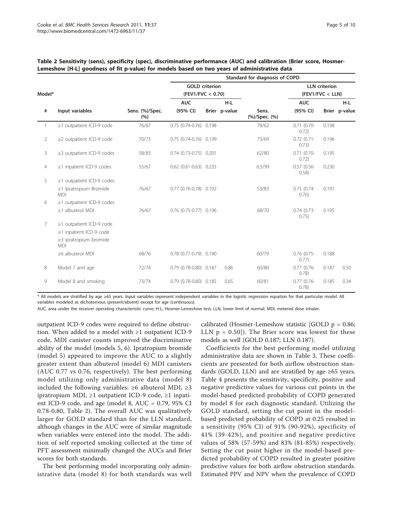|                |                                            |                                            | Standard for diagnosis of COPD |  |                                          |                        |                        |       |               |
|----------------|--------------------------------------------|--------------------------------------------|--------------------------------|--|------------------------------------------|------------------------|------------------------|-------|---------------|
| Model*         |                                            | <b>GOLD</b> criterion<br>(FEV1/FVC < 0.70) |                                |  | <b>LLN</b> criterion<br>(FEV1/FVC < LLN) |                        |                        |       |               |
|                |                                            |                                            | <b>AUC</b>                     |  | $H-L$                                    |                        | <b>AUC</b>             |       | H-L           |
| #              | Input variables                            | Sens. (%)/Spec.<br>(%)                     | (95% CI)                       |  | Brier p-value                            | Sens.<br>(%)/Spec. (%) | (95% CI)               |       | Brier p-value |
| $\mathbf{1}$   | ≥1 outpatient ICD-9 code                   | 76/67                                      | 0.75 (0.74-0.76) 0.198         |  |                                          | 79/62                  | $0.71(0.70-$<br>0.72)  | 0.198 |               |
| $\overline{2}$ | $\geq$ 2 outpatient ICD-9 code             | 70/73                                      | 0.75 (0.74-0.76) 0.199         |  |                                          | 73/69                  | $0.72(0.71 -$<br>0.73) | 0.196 |               |
| 3              | $\geq$ 3 outpatient ICD-9 codes            | 58/83                                      | $0.74$ $(0.73-0.75)$ 0.201     |  |                                          | 62/80                  | $0.71(0.70-$<br>0.72)  | 0.195 |               |
| $\overline{4}$ | $\geq$ 1 inpatient ICD-9 codes             | 55/67                                      | $0.62$ $(0.61 - 0.63)$ $0.235$ |  |                                          | 6.5/99                 | $0.57(0.56 -$<br>0.58) | 0.230 |               |
| 5              | $\geq$ 1 outpatient ICD-9 codes            |                                            |                                |  |                                          |                        |                        |       |               |
|                | $\geq$ 1 Ipratropium Bromide<br><b>MDI</b> | 76/67                                      | 0.77 (0.76-0.78) 0.192         |  |                                          | 53/83                  | $0.75(0.74 -$<br>0.76) | 0.191 |               |
| 6              | $\geq$ 1 outpatient ICD-9 codes            |                                            |                                |  |                                          |                        |                        |       |               |
|                | $\geq$ 1 albuterol MDI                     | 76/67                                      | 0.76 (0.75-0.77) 0.196         |  |                                          | 68/70                  | $0.74(0.73-$<br>0.75)  | 0.195 |               |
| 7              | $\geq$ 1 outpatient ICD-9 code             |                                            |                                |  |                                          |                        |                        |       |               |
|                | $\geq$ 1 inpatient ICD-9 code              |                                            |                                |  |                                          |                        |                        |       |               |
|                | ≥3 ipratropium bromide<br><b>MDI</b>       |                                            |                                |  |                                          |                        |                        |       |               |
|                | ≥6 albuterol MDI                           | 68/76                                      | 0.78 (0.77-0.79) 0.190         |  |                                          | 60/79                  | $0.76$ (0.75-<br>0.77) | 0.188 |               |
| 8              | Model 7 and age                            | 72/74                                      | 0.79 (0.78-0.80) 0.187         |  | 0.86                                     | 60/80                  | $0.77(0.76 -$<br>0.78) | 0.187 | 0.50          |
| 9              | Model 8 and smoking                        | 73/74                                      | 0.79 (0.78-0.80) 0.185         |  | 0.65                                     | 60/81                  | $0.77$ (0.76-<br>0.78) | 0.185 | 0.34          |

# <span id="page-4-0"></span>Table 2 Sensitivity (sens), specificity (spec), discriminative performance (AUC) and calibration (Brier score, Hosmer-Lemeshow [H-L] goodness of fit p-value) for models based on two years of administrative data

\* All models are stratified by age ≥65 years. Input variables represent independent variables in the logistic regression equation for that particular model. All variables modeled as dichotomous (present/absent) except for age (continuous).

AUC, area under the receiver operating characteristic curve; H-L, Hosmer-Lemeshow test; LLN, lower limit of normal; MDI, metered dose inhaler.

outpatient ICD-9 codes were required to define obstruction. When added to a model with ≥1 outpatient ICD-9 code, MDI canister counts improved the discriminative ability of the model (models 5, 6). Ipratropium bromide (model 5) appeared to improve the AUC to a slightly greater extent than albuterol (model 6) MDI canisters (AUC 0.77 vs 0.76, respectively). The best performing model utilizing only administrative data (model 8) included the following variables:  $≥6$  albuterol MDI,  $≥3$ ipratropium MDI, ≥1 outpatient ICD-9 code, ≥1 inpatient ICD-9 code, and age (model 8, AUC = 0.79, 95% CI 0.78-0.80, Table 2). The overall AUC was qualitatively larger for GOLD standard than for the LLN standard, although changes in the AUC were of similar magnitude when variables were entered into the model. The addition of self reported smoking collected at the time of PFT assessment minimally changed the AUCs and Brier scores for both standards.

The best performing model incorporating only administrative data (model 8) for both standards was well

calibrated (Hosmer-Lemeshow statistic  $[GOLD p = 0.86;$ LLN  $p = 0.50$ ]). The Brier score was lowest for these models as well (GOLD 0.187; LLN 0.187).

Coefficients for the best performing model utilizing administrative data are shown in Table [3](#page-5-0). These coefficients are presented for both airflow obstruction standards (GOLD, LLN) and are stratified by age ≥65 years. Table [4](#page-5-0) presents the sensitivity, specificity, positive and negative predictive values for various cut points in the model-based predicted probability of COPD generated by model 8 for each diagnostic standard. Utilizing the GOLD standard, setting the cut point in the modelbased predicted probability of COPD at 0.25 resulted in a sensitivity (95% CI) of 91% (90-92%), specificity of 41% (39-42%), and positive and negative predictive values of 58% (57-59%) and 83% (81-85%) respectively. Setting the cut point higher in the model-based predicted probability of COPD resulted in greater positive predictive values for both airflow obstruction standards. Estimated PPV and NPV when the prevalence of COPD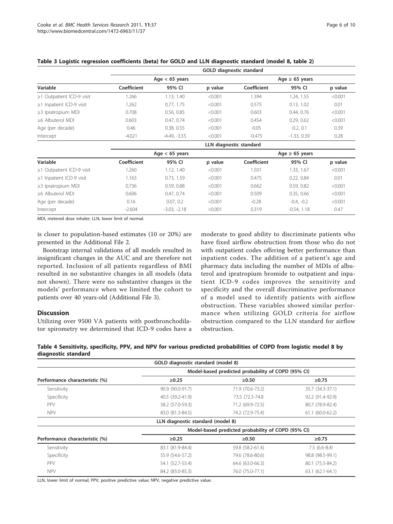|                                 |                         |                  | GOLD diagnostic standard |             |                     |         |  |  |
|---------------------------------|-------------------------|------------------|--------------------------|-------------|---------------------|---------|--|--|
|                                 |                         | Age $<$ 65 years |                          |             | Age $\geq 65$ years |         |  |  |
| Variable                        | Coefficient             | 95% CI           | p value                  | Coefficient | 95% CI              | p value |  |  |
| $\geq$ 1 Outpatient ICD-9 visit | 1.266                   | 1.13, 1.40       | < 0.001                  | 1.394       | 1.24, 1.55          | < 0.001 |  |  |
| $\geq$ 1 Inpatient ICD-9 visit  | 1.262                   | 0.77, 1.75       | < 0.001                  | 0.575       | 0.13, 1.02          | 0.01    |  |  |
| $\geq$ 3 Ipratropium MDI        | 0.708                   | 0.56, 0.85       | < 0.001                  | 0.603       | 0.44, 0.76          | < 0.001 |  |  |
| $\geq 6$ Albuterol MDI          | 0.603                   | 0.47, 0.74       | < 0.001                  | 0.454       | 0.29, 0.62          | < 0.001 |  |  |
| Age (per decade)                | 0.46                    | 0.38, 0.55       | < 0.001                  | $-0.05$     | $-0.2, 0.1$         | 0.39    |  |  |
| Intercept                       | $-4.021$                | $-4.49, -3.55$   | < 0.001                  | $-0.475$    | $-1.33, 0.39$       | 0.28    |  |  |
|                                 | LLN diagnostic standard |                  |                          |             |                     |         |  |  |
|                                 |                         | Age $<$ 65 years |                          |             | Age $\geq 65$ years |         |  |  |
| Variable                        | Coefficient             | 95% CI           | p value                  | Coefficient | 95% CI              | p value |  |  |
| $\geq$ 1 Outpatient ICD-9 visit | 1.260                   | 1.12, 1.40       | < 0.001                  | 1.501       | 1.33, 1.67          | < 0.001 |  |  |
| $\geq$ 1 Inpatient ICD-9 visit  | 1.163                   | 0.73, 1.59       | < 0.001                  | 0.475       | 0.22, 0.84          | 0.01    |  |  |
| $\geq$ 3 Ipratropium MDI        | 0.736                   | 0.59, 0.88       | < 0.001                  | 0.662       | 0.59, 0.82          | < 0.001 |  |  |
| $\geq 6$ Albuterol MDI          | 0.606                   | 0.47, 0.74       | < 0.001                  | 0.509       | 0.35, 0.66          | < 0.001 |  |  |
| Age (per decade)                | 0.16                    | 0.07, 0.2        | < 0.001                  | $-0.28$     | $-0.4, -0.2$        | < 0.001 |  |  |
| Intercept                       | $-2.604$                | $-3.03, -2.18$   | < 0.001                  | 0.319       | $-0.54, 1.18$       | 0.47    |  |  |

# <span id="page-5-0"></span>Table 3 Logistic regression coefficients (beta) for GOLD and LLN diagnostic standard (model 8, table 2)

MDI, metered dose inhaler; LLN, lower limit of normal.

is closer to population-based estimates (10 or 20%) are presented in the Additional File [2](#page-7-0).

Bootstrap internal validations of all models resulted in insignificant changes in the AUC and are therefore not reported. Inclusion of all patients regardless of BMI resulted in no substantive changes in all models (data not shown). There were no substantive changes in the models' performance when we limited the cohort to patients over 40 years-old (Additional File [3\)](#page-7-0).

# **Discussion**

Utilizing over 9500 VA patients with postbronchodilator spirometry we determined that ICD-9 codes have a moderate to good ability to discriminate patients who have fixed airflow obstruction from those who do not with outpatient codes offering better performance than inpatient codes. The addition of a patient's age and pharmacy data including the number of MDIs of albuterol and ipratropium bromide to outpatient and inpatient ICD-9 codes improves the sensitivity and specificity and the overall discriminative performance of a model used to identify patients with airflow obstruction. These variables showed similar performance when utilizing GOLD criteria for airflow obstruction compared to the LLN standard for airflow obstruction.

|                     |  |  | Table 4 Sensitivity, specificity, PPV, and NPV for various predicted probabilities of COPD from logistic model 8 by |
|---------------------|--|--|---------------------------------------------------------------------------------------------------------------------|
| diagnostic standard |  |  |                                                                                                                     |

|                                | GOLD diagnostic standard (model 8)                 |                  |                   |  |  |  |  |
|--------------------------------|----------------------------------------------------|------------------|-------------------|--|--|--|--|
|                                | Model-based predicted probability of COPD (95% CI) |                  |                   |  |  |  |  |
| Performance characteristic (%) | $\ge 0.25$                                         | $\ge 0.50$       | $\ge 0.75$        |  |  |  |  |
| Sensitivity                    | 90.9 (90.0-91.7)                                   | 71.9 (70.6-73.2) | 35.7 (34.3-37.1)  |  |  |  |  |
| Specificity                    | 40.5 (39.2-41.9)                                   | 73.5 (72.3-74.8) | 92.2 (91.4-92.9)  |  |  |  |  |
| <b>PPV</b>                     | 58.2 (57.0-59.3)                                   | 71.2 (69.9-72.5) | 80.7 (78.9-82.4)  |  |  |  |  |
| <b>NPV</b>                     | 83.0 (81.3-84.5)                                   | 74.2 (72.9-75.4) | $61.1(60.0-62.2)$ |  |  |  |  |
|                                | LLN diagnostic standard (model 8)                  |                  |                   |  |  |  |  |
|                                | Model-based predicted probability of COPD (95% CI) |                  |                   |  |  |  |  |
| Performance characteristic (%) | $\ge 0.25$                                         | $\ge 0.50$       | ≥0.75             |  |  |  |  |
| Sensitivity                    | 83.1 (81.9-84.4)                                   | 59.8 (58.2-61.4) | $7.5(6.6-8.4)$    |  |  |  |  |
| Specificity                    | 55.9 (54.6-57.2)                                   | 79.6 (78.6-80.6) | 98.8 (98.5-99.1)  |  |  |  |  |
| <b>PPV</b>                     | 54.1 (52.7-55.4)                                   | 64.6 (63.0-66.3) | 80.1 (75.5-84.2)  |  |  |  |  |
| <b>NPV</b>                     | 84.2 (83.0-85.3)                                   | 76.0 (75.0-77.1) | 63.1 (62.1-64.1)  |  |  |  |  |

LLN, lower limit of normal; PPV, positive predictive value; NPV, negative predictive value.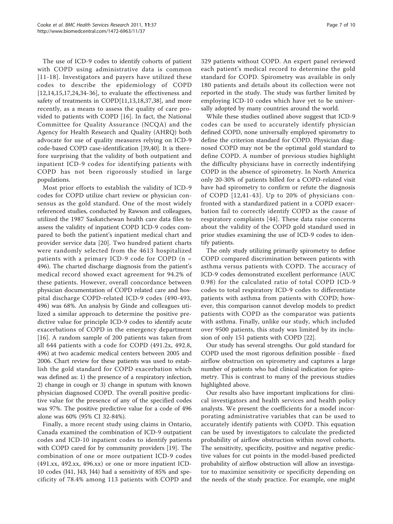The use of ICD-9 codes to identify cohorts of patient with COPD using administrative data is common [[11-18](#page-8-0)]. Investigators and payers have utilized these codes to describe the epidemiology of COPD [[12,14,15,17,24](#page-8-0)[,34](#page-9-0)-[36\]](#page-9-0), to evaluate the effectiveness and safety of treatments in COPD[[11,13,18,](#page-8-0)[37,38\]](#page-9-0), and more recently, as a means to assess the quality of care provided to patients with COPD [\[16](#page-8-0)]. In fact, the National Committee for Quality Assurance (NCQA) and the Agency for Health Research and Quality (AHRQ) both advocate for use of quality measures relying on ICD-9 code-based COPD case-identification [\[39,40](#page-9-0)]. It is therefore surprising that the validity of both outpatient and inpatient ICD-9 codes for identifying patients with COPD has not been rigorously studied in large populations.

Most prior efforts to establish the validity of ICD-9 codes for COPD utilize chart review or physician consensus as the gold standard. One of the most widely referenced studies, conducted by Rawson and colleagues, utilized the 1987 Saskatchewan health care data files to assess the validity of inpatient COPD ICD-9 codes compared to both the patient's inpatient medical chart and provider service data [[20](#page-8-0)]. Two hundred patient charts were randomly selected from the 4613 hospitalized patients with a primary ICD-9 code for COPD (n = 496). The charted discharge diagnosis from the patient's medical record showed exact agreement for 94.2% of these patients. However, overall concordance between physician documentation of COPD related care and hospital discharge COPD-related ICD-9 codes (490-493, 496) was 68%. An analysis by Ginde and colleagues utilized a similar approach to determine the positive predictive value for principle ICD-9 codes to identify acute exacerbations of COPD in the emergency department [[16](#page-8-0)]. A random sample of 200 patients was taken from all 644 patients with a code for COPD (491.2x, 492.8, 496) at two academic medical centers between 2005 and 2006. Chart review for these patients was used to establish the gold standard for COPD exacerbation which was defined as: 1) the presence of a respiratory infection, 2) change in cough or 3) change in sputum with known physician diagnosed COPD. The overall positive predictive value for the presence of any of the specified codes was 97%. The positive predictive value for a code of 496 alone was 60% (95% CI 32-84%).

Finally, a more recent study using claims in Ontario, Canada examined the combination of ICD-9 outpatient codes and ICD-10 inpatient codes to identify patients with COPD cared for by community providers [[19\]](#page-8-0). The combination of one or more outpatient ICD-9 codes (491.xx, 492.xx, 496.xx) or one or more inpatient ICD-10 codes (J41, J43, J44) had a sensitivity of 85% and specificity of 78.4% among 113 patients with COPD and 329 patients without COPD. An expert panel reviewed each patient's medical record to determine the gold standard for COPD. Spirometry was available in only 180 patients and details about its collection were not reported in the study. The study was further limited by employing ICD-10 codes which have yet to be universally adopted by many countries around the world.

While these studies outlined above suggest that ICD-9 codes can be used to accurately identify physician defined COPD, none universally employed spirometry to define the criterion standard for COPD. Physician diagnosed COPD may not be the optimal gold standard to define COPD. A number of previous studies highlight the difficulty physicians have in correctly indentifying COPD in the absence of spirometry. In North America only 20-30% of patients billed for a COPD-related visit have had spirometry to confirm or refute the diagnosis of COPD [[12,](#page-8-0)[41](#page-9-0)-[43\]](#page-9-0). Up to 20% of physicians confronted with a standardized patient in a COPD exacerbation fail to correctly identify COPD as the cause of respiratory complaints [[44\]](#page-9-0). These data raise concerns about the validity of the COPD gold standard used in prior studies examining the use of ICD-9 codes to identify patients.

The only study utilizing primarily spirometry to define COPD compared discrimination between patients with asthma versus patients with COPD. The accuracy of ICD-9 codes demonstrated excellent performance (AUC 0.98) for the calculated ratio of total COPD ICD-9 codes to total respiratory ICD-9 codes to differentiate patients with asthma from patients with COPD; however, this comparison cannot develop models to predict patients with COPD as the comparator was patients with asthma. Finally, unlike our study, which included over 9500 patients, this study was limited by its inclusion of only 151 patients with COPD [[22\]](#page-8-0).

Our study has several strengths. Our gold standard for COPD used the most rigorous definition possible - fixed airflow obstruction on spirometry and captures a large number of patients who had clinical indication for spirometry. This is contrast to many of the previous studies highlighted above.

Our results also have important implications for clinical investigators and health services and health policy analysts. We present the coefficients for a model incorporating administrative variables that can be used to accurately identify patients with COPD. This equation can be used by investigators to calculate the predicted probability of airflow obstruction within novel cohorts. The sensitivity, specificity, positive and negative predictive values for cut points in the model-based predicted probability of airflow obstruction will allow an investigator to maximize sensitivity or specificity depending on the needs of the study practice. For example, one might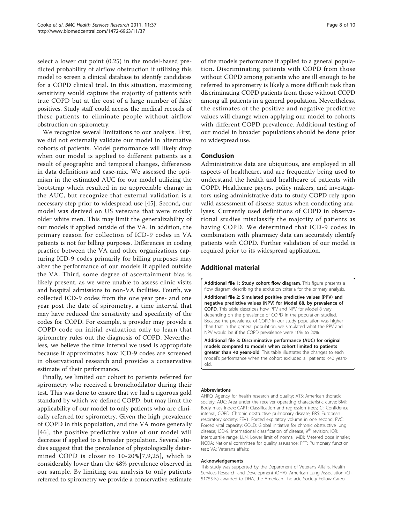<span id="page-7-0"></span>select a lower cut point (0.25) in the model-based predicted probability of airflow obstruction if utilizing this model to screen a clinical database to identify candidates for a COPD clinical trial. In this situation, maximizing sensitivity would capture the majority of patients with true COPD but at the cost of a large number of false positives. Study staff could access the medical records of these patients to eliminate people without airflow obstruction on spirometry.

We recognize several limitations to our analysis. First, we did not externally validate our model in alternative cohorts of patients. Model performance will likely drop when our model is applied to different patients as a result of geographic and temporal changes, differences in data definitions and case-mix. We assessed the optimism in the estimated AUC for our model utilizing the bootstrap which resulted in no appreciable change in the AUC, but recognize that external validation is a necessary step prior to widespread use [[45\]](#page-9-0). Second, our model was derived on US veterans that were mostly older white men. This may limit the generalizability of our models if applied outside of the VA. In addition, the primary reason for collection of ICD-9 codes in VA patients is not for billing purposes. Differences in coding practice between the VA and other organizations capturing ICD-9 codes primarily for billing purposes may alter the performance of our models if applied outside the VA. Third, some degree of ascertainment bias is likely present, as we were unable to assess clinic visits and hospital admissions to non-VA facilities. Fourth, we collected ICD-9 codes from the one year pre- and one year post the date of spirometry, a time interval that may have reduced the sensitivity and specificity of the codes for COPD. For example, a provider may provide a COPD code on initial evaluation only to learn that spirometry rules out the diagnosis of COPD. Nevertheless, we believe the time interval we used is appropriate because it approximates how ICD-9 codes are screened in observational research and provides a conservative estimate of their performance.

Finally, we limited our cohort to patients referred for spirometry who received a bronchodilator during their test. This was done to ensure that we had a rigorous gold standard by which we defined COPD, but may limit the applicability of our model to only patients who are clinically referred for spirometry. Given the high prevalence of COPD in this population, and the VA more generally [[46](#page-9-0)], the positive predictive value of our model will decrease if applied to a broader population. Several studies suggest that the prevalence of physiologically determined COPD is closer to 10-20%[[7,9,25\]](#page-8-0), which is considerably lower than the 48% prevalence observed in our sample. By limiting our analysis to only patients referred to spirometry we provide a conservative estimate

of the models performance if applied to a general population. Discriminating patients with COPD from those without COPD among patients who are ill enough to be referred to spirometry is likely a more difficult task than discriminating COPD patients from those without COPD among all patients in a general population. Nevertheless, the estimates of the positive and negative predictive values will change when applying our model to cohorts with different COPD prevalence. Additional testing of our model in broader populations should be done prior to widespread use.

# Conclusion

Administrative data are ubiquitous, are employed in all aspects of healthcare, and are frequently being used to understand the health and healthcare of patients with COPD. Healthcare payers, policy makers, and investigators using administrative data to study COPD rely upon valid assessment of disease status when conducting analyses. Currently used definitions of COPD in observational studies misclassify the majority of patients as having COPD. We determined that ICD-9 codes in combination with pharmacy data can accurately identify patients with COPD. Further validation of our model is required prior to its widespread application.

# Additional material

[Additional file 1: S](http://www.biomedcentral.com/content/supplementary/1472-6963-11-37-S1.DOC)tudy cohort flow diagram. This figure presents a flow diagram describing the exclusion criteria for the primary analysis.

[Additional file 2: S](http://www.biomedcentral.com/content/supplementary/1472-6963-11-37-S2.DOC)imulated positive predictive values (PPV) and negative predictive values (NPV) for Model 88, by prevalence of COPD. This table describes how PPV and NPV for Model 8 vary depending on the prevalence of COPD in the population studied. Because the prevalence of COPD in our study population was higher than that in the general population, we simulated what the PPV and NPV would be if the COPD prevalence were 10% to 20%.

[Additional file 3: D](http://www.biomedcentral.com/content/supplementary/1472-6963-11-37-S3.DOC)iscriminative performance (AUC) for original models compared to models when cohort limited to patients greater than 40 years-old. This table illustrates the changes to each model's performance when the cohort excluded all patients <40 yearsold.

#### Abbreviations

AHRQ: Agency for health research and quality; ATS: American thoracic society; AUC: Area under the receiver operating characteristic curve; BMI: Body mass index; CART: Classification and regression trees; CI: Confidence interval; COPD: Chronic obstructive pulmonary disease; ERS: European respiratory society; FEV1: Forced expiratory volume in one second; FVC: Forced vital capacity; GOLD: Global initiative for chronic obstructive lung disease; ICD-9: International classification of disease, 9<sup>th</sup> revision; IQR: Interquartile range; LLN: Lower limit of normal; MDI: Metered dose inhaler; NCQA: National committee for quality assurance; PFT: Pulmonary function test: VA: Veterans affairs;

### Acknowledgements

This study was supported by the Department of Veterans Affairs, Health Services Research and Development (DHA), American Lung Association (CI-51755-N) awarded to DHA, the American Thoracic Society Fellow Career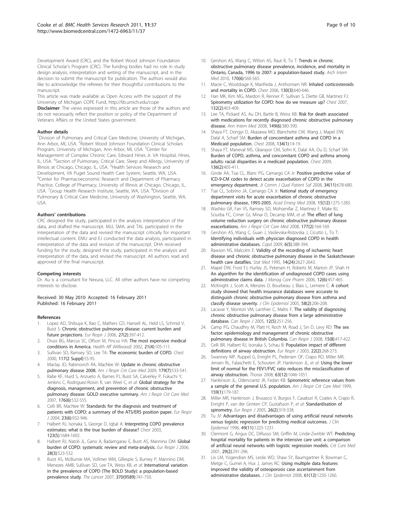<span id="page-8-0"></span>Development Award (CRC), and the Robert Wood Johnson Foundation Clinical Scholar's Program (CRC). The funding bodies had no role in study design analysis, interpretation and writing of the manuscript, and in the decision to submit the manuscript for publication. The authors would also like to acknowledge the referees for their thoughtful contributions to the manuscript.

This article was made available as Open Access with the support of the University of Michigan COPE Fund,<http://lib.umich.edu/cope> Disclaimer: The views expressed in this article are those of the authors and do not necessarily reflect the position or policy of the Department of Veterans Affairs or the United States government.

### Author details

<sup>1</sup> Division of Pulmonary and Critical Care Medicine, University of Michigan, Ann Arbor, MI, USA. <sup>2</sup>Robert Wood Johnson Foundation Clinical Scholars Program, University of Michigan, Ann Arbor, MI, USA. <sup>3</sup>Center for Management of Complex Chronic Care, Edward Hines Jr. VA Hospital, Hines, IL, USA. <sup>4</sup>Section of Pulmonary, Critical Care, Sleep and Allergy, University of Illinois at Chicago, Chicago, IL, USA. <sup>5</sup>Health Services Research and Development, VA Puget Sound Health Care System, Seattle, WA, USA. 6 Center for Pharmacoeconomic Research and Department of Pharmacy Practice, College of Pharmacy, University of Illinois at Chicago, Chicago, IL, USA. <sup>7</sup>Group Health Research Institute, Seattle, WA, USA. <sup>8</sup>Division of Pulmonary & Critical Care Medicine, University of Washington, Seattle, WA, USA.

## Authors' contributions

CRC designed the study, participated in the analysis interpretation of the data, and drafted the manuscript. MJJ, SMA, and TAL participated in the interpretation of the data and revised the manuscript critically for important intellectual content. EMU and EJ conducted the data analysis, participated in interpretation of the data and revision of the manuscript. DHA received funding for the study, designed the study, participated in the analysis and interpretation of the data, and revised the manuscript. All authors read and approved of the final manuscript.

## Competing interests

Dr. Au is a consultant for Nexura, LLC. All other authors have no competing interests to disclose.

## Received: 30 May 2010 Accepted: 16 February 2011 Published: 16 February 2011

#### References

- 1. Lopez AD, Shibuya K, Rao C, Mathers CD, Hansell AL, Held LS, Schmid V, Buist S: [Chronic obstructive pulmonary disease: current burden and](http://www.ncbi.nlm.nih.gov/pubmed/16452599?dopt=Abstract) [future projections.](http://www.ncbi.nlm.nih.gov/pubmed/16452599?dopt=Abstract) Eur Respir J 2006, 27(2):397-412.
- 2. Druss BG, Marcus SC, Olfson M, Pincus HA: [The most expensive medical](http://www.ncbi.nlm.nih.gov/pubmed/12117121?dopt=Abstract) [conditions in America.](http://www.ncbi.nlm.nih.gov/pubmed/12117121?dopt=Abstract) Health Aff (Millwood) 2002, 21(4):105-111.
- Sullivan SD, Ramsey SD, Lee TA: [The economic burden of COPD.](http://www.ncbi.nlm.nih.gov/pubmed/10673466?dopt=Abstract) Chest 2000, 117(2 Suppl):5S-9S.
- 4. Maclay JD, Rabinovich RA, MacNee W: [Update in chronic obstructive](http://www.ncbi.nlm.nih.gov/pubmed/19318543?dopt=Abstract) [pulmonary disease 2008.](http://www.ncbi.nlm.nih.gov/pubmed/19318543?dopt=Abstract) Am J Respir Crit Care Med 2009, 179(7):533-541.
- Rabe KF, Hurd S, Anzueto A, Barnes PJ, Buist SA, Calverley P, Fukuchi Y, Jenkins C, Rodriguez-Roisin R, van Weel C, et al: [Global strategy for the](http://www.ncbi.nlm.nih.gov/pubmed/17507545?dopt=Abstract) [diagnosis, management, and prevention of chronic obstructive](http://www.ncbi.nlm.nih.gov/pubmed/17507545?dopt=Abstract) [pulmonary disease: GOLD executive summary.](http://www.ncbi.nlm.nih.gov/pubmed/17507545?dopt=Abstract) Am J Respir Crit Care Med 2007, 176(6):532-555.
- 6. Celli BR, MacNee W: [Standards for the diagnosis and treatment of](http://www.ncbi.nlm.nih.gov/pubmed/15219010?dopt=Abstract) [patients with COPD: a summary of the ATS/ERS position paper.](http://www.ncbi.nlm.nih.gov/pubmed/15219010?dopt=Abstract) Eur Respir J 2004, 23(6):932-946.
- 7. Halbert RJ, Isonaka S, George D, Iqbal A: [Interpreting COPD prevalence](http://www.ncbi.nlm.nih.gov/pubmed/12740290?dopt=Abstract) [estimates: what is the true burden of disease?](http://www.ncbi.nlm.nih.gov/pubmed/12740290?dopt=Abstract) Chest 2003, 123(5):1684-1692.
- 8. Halbert RJ, Natoli JL, Gano A, Badamgarav E, Buist AS, Mannino DM: [Global](http://www.ncbi.nlm.nih.gov/pubmed/16611654?dopt=Abstract) [burden of COPD: systematic review and meta-analysis.](http://www.ncbi.nlm.nih.gov/pubmed/16611654?dopt=Abstract) Eur Respir J 2006, 28(3):523-532.
- 9. Buist AS, McBurnie MA, Vollmer WM, Gillespie S, Burney P, Mannino DM, Menezes AMB, Sullivan SD, Lee TA, Weiss KB, et al: International variation in the prevalence of COPD (The BOLD Study): a population-based prevalence study. The Lancet 2007, 370(9589):741-750.
- 10. Gershon AS, Wang C, Wilton AS, Raut R, To T: [Trends in chronic](http://www.ncbi.nlm.nih.gov/pubmed/20308643?dopt=Abstract) [obstructive pulmonary disease prevalence, incidence, and mortality in](http://www.ncbi.nlm.nih.gov/pubmed/20308643?dopt=Abstract) [Ontario, Canada, 1996 to 2007: a population-based study.](http://www.ncbi.nlm.nih.gov/pubmed/20308643?dopt=Abstract) Arch Intern Med 2010, 170(6):560-565.
- 11. Macie C, Wooldrage K, Manfreda J, Anthonisen NR: [Inhaled corticosteroids](http://www.ncbi.nlm.nih.gov/pubmed/16963657?dopt=Abstract) [and mortality in COPD.](http://www.ncbi.nlm.nih.gov/pubmed/16963657?dopt=Abstract) Chest 2006, 130(3):640-646.
- 12. Han MK, Kim MG, Mardon R, Renner P, Sullivan S, Diette GB, Martinez FJ: [Spirometry utilization for COPD: how do we measure up?](http://www.ncbi.nlm.nih.gov/pubmed/17550936?dopt=Abstract) Chest 2007, 132(2):403-409.
- 13. Lee TA, Pickard AS, Au DH, Bartle B, Weiss KB: [Risk for death associated](http://www.ncbi.nlm.nih.gov/pubmed/18794557?dopt=Abstract) [with medications for recently diagnosed chronic obstructive pulmonary](http://www.ncbi.nlm.nih.gov/pubmed/18794557?dopt=Abstract) [disease.](http://www.ncbi.nlm.nih.gov/pubmed/18794557?dopt=Abstract) Ann Intern Med 2008, 149(6):380-390.
- 14. Shaya FT, Dongyi D, Akazawa MO, Blanchette CM, Wang J, Mapel DW, Dalal A, Scharf SM: [Burden of concomitant asthma and COPD in a](http://www.ncbi.nlm.nih.gov/pubmed/18339789?dopt=Abstract) Medicaid [population.](http://www.ncbi.nlm.nih.gov/pubmed/18339789?dopt=Abstract) Chest 2008, 134(1):14-19.
- 15. Shaya FT, Maneval MS, Gbarayor CM, Sohn K, Dalal AA, Du D, Scharf SM: [Burden of COPD, asthma, and concomitant COPD and asthma among](http://www.ncbi.nlm.nih.gov/pubmed/19318663?dopt=Abstract) [adults: racial disparities in a medicaid population.](http://www.ncbi.nlm.nih.gov/pubmed/19318663?dopt=Abstract) Chest 2009, 136(2):405-411.
- 16. Ginde AA, Tsai CL, Blanc PG, Camargo CA Jr: [Positive predictive value of](http://www.ncbi.nlm.nih.gov/pubmed/19025089?dopt=Abstract) [ICD-9-CM codes to detect acute exacerbation of COPD in the](http://www.ncbi.nlm.nih.gov/pubmed/19025089?dopt=Abstract) [emergency department.](http://www.ncbi.nlm.nih.gov/pubmed/19025089?dopt=Abstract) Jt Comm J Qual Patient Saf 2008, 34(11):678-680.
- 17. Tsai CL, Sobrino JA, Camargo CA Jr: [National study of emergency](http://www.ncbi.nlm.nih.gov/pubmed/18976335?dopt=Abstract) [department visits for acute exacerbation of chronic obstructive](http://www.ncbi.nlm.nih.gov/pubmed/18976335?dopt=Abstract) [pulmonary disease, 1993-2005.](http://www.ncbi.nlm.nih.gov/pubmed/18976335?dopt=Abstract) Acad Emerg Med 2008, 15(12):1275-1283.
- 18. Washko GR, Fan VS, Ramsey SD, Mohsenifar Z, Martinez F, Make BJ, Sciurba FC, Criner GJ, Minai O, Decamp MM, et al: [The effect of lung](http://www.ncbi.nlm.nih.gov/pubmed/17962632?dopt=Abstract) [volume reduction surgery on chronic obstructive pulmonary disease](http://www.ncbi.nlm.nih.gov/pubmed/17962632?dopt=Abstract) [exacerbations.](http://www.ncbi.nlm.nih.gov/pubmed/17962632?dopt=Abstract) Am J Respir Crit Care Med 2008, 177(2):164-169.
- 19. Gershon AS, Wang C, Guan J, Vasilevska-Ristovska J, Cicutto L, To T: [Identifying individuals with physician diagnosed COPD in health](http://www.ncbi.nlm.nih.gov/pubmed/19863368?dopt=Abstract) [administrative databases.](http://www.ncbi.nlm.nih.gov/pubmed/19863368?dopt=Abstract) Copd 2009, 6(5):388-394.
- 20. Rawson NS, Malcolm E: [Validity of the recording of ischaemic heart](http://www.ncbi.nlm.nih.gov/pubmed/8619104?dopt=Abstract) [disease and chronic obstructive pulmonary disease in the Saskatchewan](http://www.ncbi.nlm.nih.gov/pubmed/8619104?dopt=Abstract) [health care datafiles.](http://www.ncbi.nlm.nih.gov/pubmed/8619104?dopt=Abstract) Stat Med 1995, 14(24):2627-2643.
- 21. Mapel DW, Frost FJ, Hurley JS, Petersen H, Roberts M, Marton JP, Shah H: [An algorithm for the identification of undiagnosed COPD cases using](http://www.ncbi.nlm.nih.gov/pubmed/16925453?dopt=Abstract) [administrative claims data.](http://www.ncbi.nlm.nih.gov/pubmed/16925453?dopt=Abstract) J Manag Care Pharm 2006, 12(6):457-465.
- 22. McKnight J, Scott A, Menzies D, Bourbeau J, Blais L, Lemiere C: [A cohort](http://www.ncbi.nlm.nih.gov/pubmed/15680756?dopt=Abstract) [study showed that health insurance databases were accurate to](http://www.ncbi.nlm.nih.gov/pubmed/15680756?dopt=Abstract) [distinguish chronic obstructive pulmonary disease from asthma and](http://www.ncbi.nlm.nih.gov/pubmed/15680756?dopt=Abstract) [classify disease severity.](http://www.ncbi.nlm.nih.gov/pubmed/15680756?dopt=Abstract) J Clin Epidemiol 2005, 58(2):206-208.
- 23. Lacasse Y, Montori VM, Lanthier C, Maltis F: [The validity of diagnosing](http://www.ncbi.nlm.nih.gov/pubmed/16107913?dopt=Abstract) [chronic obstructive pulmonary disease from a large administrative](http://www.ncbi.nlm.nih.gov/pubmed/16107913?dopt=Abstract) [database.](http://www.ncbi.nlm.nih.gov/pubmed/16107913?dopt=Abstract) Can Respir J 2005, 12(5):251-256.
- 24. Camp PG, Chaudhry M, Platt H, Roch M, Road J, Sin D, Levy RD: [The sex](http://www.ncbi.nlm.nih.gov/pubmed/19107241?dopt=Abstract) [factor: epidemiology and management of chronic obstructive](http://www.ncbi.nlm.nih.gov/pubmed/19107241?dopt=Abstract) [pulmonary disease in British Columbia.](http://www.ncbi.nlm.nih.gov/pubmed/19107241?dopt=Abstract) Can Respir J 2008, 15(8):417-422.
- 25. Celli BR, Halbert RJ, Isonaka S, Schau B: [Population impact of different](http://www.ncbi.nlm.nih.gov/pubmed/12952259?dopt=Abstract) [definitions of airway obstruction.](http://www.ncbi.nlm.nih.gov/pubmed/12952259?dopt=Abstract) Eur Respir J 2003, 22(2):268-273.
- 26. Swanney MP, Ruppel G, Enright PL, Pedersen OF, Crapo RO, Miller MR, Jensen RL, Falaschetti E, Schouten JP, Hankinson JL, et al: [Using the lower](http://www.ncbi.nlm.nih.gov/pubmed/18786983?dopt=Abstract) [limit of normal for the FEV1/FVC ratio reduces the misclassification of](http://www.ncbi.nlm.nih.gov/pubmed/18786983?dopt=Abstract) [airway obstruction.](http://www.ncbi.nlm.nih.gov/pubmed/18786983?dopt=Abstract) Thorax 2008, 63(12):1046-1051.
- 27. Hankinson JL, Odencrantz JR, Fedan KB: [Spirometric reference values from](http://www.ncbi.nlm.nih.gov/pubmed/9872837?dopt=Abstract) [a sample of the general U.S. population.](http://www.ncbi.nlm.nih.gov/pubmed/9872837?dopt=Abstract) Am J Respir Crit Care Med 1999, 159(1):179-187.
- Miller MR, Hankinson J, Brusasco V, Burgos F, Casaburi R, Coates A, Crapo R, Enright P, van der Grinten CP, Gustafsson P, et al: [Standardisation of](http://www.ncbi.nlm.nih.gov/pubmed/16055882?dopt=Abstract) [spirometry.](http://www.ncbi.nlm.nih.gov/pubmed/16055882?dopt=Abstract) Eur Respir J 2005, 26(2):319-338.
- 29. Tu JV: [Advantages and disadvantages of using artificial neural networks](http://www.ncbi.nlm.nih.gov/pubmed/8892489?dopt=Abstract) [versus logistic regression for predicting medical outcomes.](http://www.ncbi.nlm.nih.gov/pubmed/8892489?dopt=Abstract) J Clin Epidemiol 1996, 49(11):1225-1231.
- 30. Clermont G, Angus DC, DiRusso SM, Griffin M, Linde-Zwirble WT: [Predicting](http://www.ncbi.nlm.nih.gov/pubmed/11246308?dopt=Abstract) [hospital mortality for patients in the intensive care unit: a comparison](http://www.ncbi.nlm.nih.gov/pubmed/11246308?dopt=Abstract) [of artificial neural networks with logistic regression models.](http://www.ncbi.nlm.nih.gov/pubmed/11246308?dopt=Abstract) Crit Care Med 2001, 29(2):291-296.
- 31. Lix LM, Yogendran MS, Leslie WD, Shaw SY, Baumgartner R, Bowman C, Metge C, Gumel A, Hux J, James RC: [Using multiple data features](http://www.ncbi.nlm.nih.gov/pubmed/18619800?dopt=Abstract) [improved the validity of osteoporosis case ascertainment from](http://www.ncbi.nlm.nih.gov/pubmed/18619800?dopt=Abstract) [administrative databases.](http://www.ncbi.nlm.nih.gov/pubmed/18619800?dopt=Abstract) J Clin Epidemiol 2008, 61(12):1250-1260.